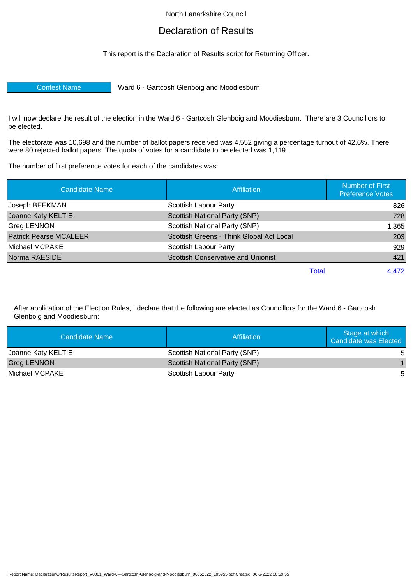## North Lanarkshire Council

## Declaration of Results

This report is the Declaration of Results script for Returning Officer.

Contest Name Ward 6 - Gartcosh Glenboig and Moodiesburn

I will now declare the result of the election in the Ward 6 - Gartcosh Glenboig and Moodiesburn. There are 3 Councillors to be elected.

The electorate was 10,698 and the number of ballot papers received was 4,552 giving a percentage turnout of 42.6%. There were 80 rejected ballot papers. The quota of votes for a candidate to be elected was 1,119.

The number of first preference votes for each of the candidates was:

| <b>Candidate Name</b>         | <b>Affiliation</b>                        | <b>Number of First</b><br><b>Preference Votes</b> |
|-------------------------------|-------------------------------------------|---------------------------------------------------|
| Joseph BEEKMAN                | Scottish Labour Party                     | 826                                               |
| Joanne Katy KELTIE            | Scottish National Party (SNP)             | 728                                               |
| Greg LENNON                   | Scottish National Party (SNP)             | 1,365                                             |
| <b>Patrick Pearse MCALEER</b> | Scottish Greens - Think Global Act Local  | 203                                               |
| Michael MCPAKE                | Scottish Labour Party                     | 929                                               |
| Norma RAESIDE                 | <b>Scottish Conservative and Unionist</b> | 421                                               |
|                               | Total                                     | 4.472                                             |

After application of the Election Rules, I declare that the following are elected as Councillors for the Ward 6 - Gartcosh Glenboig and Moodiesburn:

| Candidate Name     | Affiliation                          | Stage at which<br><b>Candidate was Elected</b> |
|--------------------|--------------------------------------|------------------------------------------------|
| Joanne Katy KELTIE | Scottish National Party (SNP)        | 5                                              |
| <b>Greg LENNON</b> | <b>Scottish National Party (SNP)</b> |                                                |
| Michael MCPAKE     | Scottish Labour Party                | 5                                              |